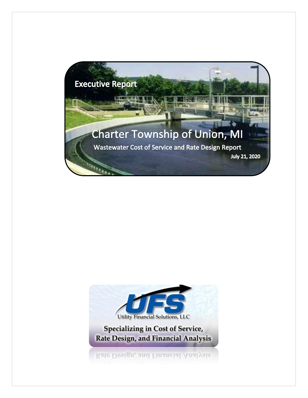

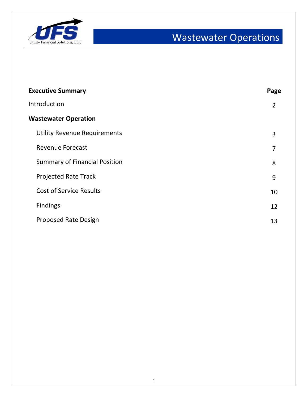

| <b>Executive Summary</b>             | Page           |
|--------------------------------------|----------------|
| Introduction                         | $\overline{2}$ |
| <b>Wastewater Operation</b>          |                |
| <b>Utility Revenue Requirements</b>  | 3              |
| <b>Revenue Forecast</b>              | 7              |
| <b>Summary of Financial Position</b> | 8              |
| <b>Projected Rate Track</b>          | 9              |
| <b>Cost of Service Results</b>       | 10             |
| <b>Findings</b>                      | 12             |
| <b>Proposed Rate Design</b>          | 13             |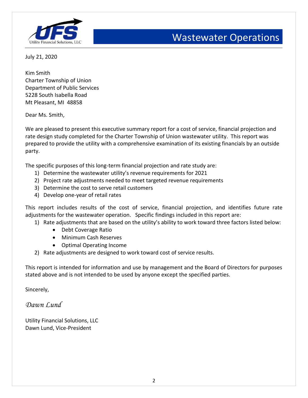

July 21, 2020

Kim Smith Charter Township of Union Department of Public Services 5228 South Isabella Road Mt Pleasant, MI 48858

Dear Ms. Smith,

We are pleased to present this executive summary report for a cost of service, financial projection and rate design study completed for the Charter Township of Union wastewater utility. This report was prepared to provide the utility with a comprehensive examination of its existing financials by an outside party.

The specific purposes of this long-term financial projection and rate study are:

- 1) Determine the wastewater utility's revenue requirements for 2021
- 2) Project rate adjustments needed to meet targeted revenue requirements
- 3) Determine the cost to serve retail customers
- 4) Develop one-year of retail rates

This report includes results of the cost of service, financial projection, and identifies future rate adjustments for the wastewater operation. Specific findings included in this report are:

- 1) Rate adjustments that are based on the utility's ability to work toward three factors listed below:
	- Debt Coverage Ratio
	- Minimum Cash Reserves
	- Optimal Operating Income
- 2) Rate adjustments are designed to work toward cost of service results.

This report is intended for information and use by management and the Board of Directors for purposes stated above and is not intended to be used by anyone except the specified parties.

Sincerely,

*Dawn Lund*

Utility Financial Solutions, LLC Dawn Lund, Vice-President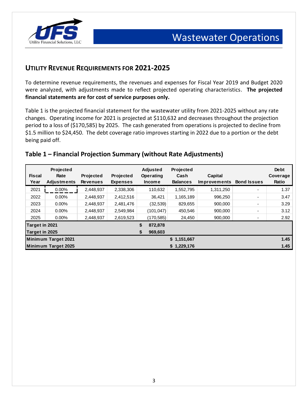

### **UTILITY REVENUE REQUIREMENTS FOR 2021-2025**

To determine revenue requirements, the revenues and expenses for Fiscal Year 2019 and Budget 2020 were analyzed, with adjustments made to reflect projected operating characteristics. **The projected financial statements are for cost of service purposes only.** 

Table 1 is the projected financial statement for the wastewater utility from 2021-2025 without any rate changes. Operating income for 2021 is projected at \$110,632 and decreases throughout the projection period to a loss of (\$170,585) by 2025. The cash generated from operations is projected to decline from \$1.5 million to \$24,450. The debt coverage ratio improves starting in 2022 due to a portion or the debt being paid off.

#### **Table 1 – Financial Projection Summary (without Rate Adjustments)**

| <b>Fiscal</b><br>Year            | Projected<br>Rate<br><b>Adjustments</b> | Projected<br><b>Revenues</b> | <b>Projected</b><br><b>Expenses</b> |          | <b>Adjusted</b><br>Operating<br><b>Income</b> | Projected<br>Cash<br><b>Balances</b> | Capital<br><b>Improvements</b> | <b>Bond Issues</b> | <b>Debt</b><br>Coverage<br>Ratio |
|----------------------------------|-----------------------------------------|------------------------------|-------------------------------------|----------|-----------------------------------------------|--------------------------------------|--------------------------------|--------------------|----------------------------------|
| 2021                             | $0.00\%$                                | 2,448,937                    | 2,338,306                           |          | 110,632                                       | 1,552,795                            | 1,311,250                      | ٠                  | 1.37                             |
| 2022                             | $0.00\%$                                | 2,448,937                    | 2,412,516                           |          | 36,421                                        | 1,165,189                            | 996,250                        |                    | 3.47                             |
| 2023                             | $0.00\%$                                | 2,448,937                    | 2,481,476                           |          | (32, 539)                                     | 829,655                              | 900,000                        |                    | 3.29                             |
| 2024                             | $0.00\%$                                | 2,448,937                    | 2,549,984                           |          | (101, 047)                                    | 450,546                              | 900.000                        |                    | 3.12                             |
| 2025                             | $0.00\%$                                | 2,448,937                    | 2,619,523                           |          | (170, 585)                                    | 24,450                               | 900,000                        |                    | 2.92                             |
| Target in 2021<br>Target in 2025 |                                         |                              |                                     | \$<br>\$ | 872,878<br>969,603                            |                                      |                                |                    |                                  |
|                                  | Minimum Target 2021                     |                              |                                     |          |                                               | \$1,151,667                          |                                |                    | 1.45                             |
|                                  | Minimum Target 2025                     |                              |                                     |          |                                               | \$1,229,176                          |                                |                    | 1.45                             |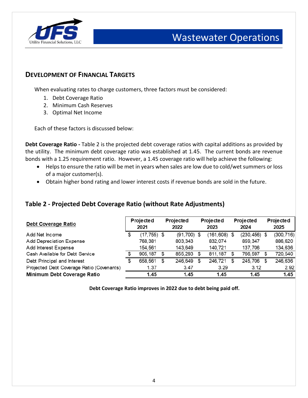

#### **DEVELOPMENT OF FINANCIAL TARGETS**

When evaluating rates to charge customers, three factors must be considered:

- 1. Debt Coverage Ratio
- 2. Minimum Cash Reserves
- 3. Optimal Net Income

Each of these factors is discussed below:

**Debt Coverage Ratio -** Table 2 is the projected debt coverage ratios with capital additions as provided by the utility. The minimum debt coverage ratio was established at 1.45. The current bonds are revenue bonds with a 1.25 requirement ratio. However, a 1.45 coverage ratio will help achieve the following:

- Helps to ensure the ratio will be met in years when sales are low due to cold/wet summers or loss of a major customer(s).
- Obtain higher bond rating and lower interest costs if revenue bonds are sold in the future.

#### **Table 2 - Projected Debt Coverage Ratio (without Rate Adjustments)**

| Debt Coverage Ratio                       |   | Projected<br>2021 |    | Projected<br>2022 | Projected<br>2023 |           |     | Projected<br>2024 |   | Projected<br>2025 |
|-------------------------------------------|---|-------------------|----|-------------------|-------------------|-----------|-----|-------------------|---|-------------------|
| Add Net Income                            | S | $(17, 755)$ \$    |    | $(91, 700)$ \$    |                   | (161,608) | \$  | $(230, 456)$ \$   |   | (300, 716)        |
| Add Depreciation Expense                  |   | 768,381           |    | 803, 343          |                   | 832,074   |     | 859, 347          |   | 886,620           |
| Add Interest Expense                      |   | 154,561           |    | 143,649           |                   | 140.721   |     | 137,706           |   | 134,636           |
| Cash Available for Debt Service           |   | 905.187           | \$ | 855,293           | \$                | 811, 187  | \$. | 766,597           | S | 720,540           |
| Debt Principal and Interest               |   | 658,561           | \$ | 246,649           | S                 | 246,721   |     | 245,706           | S | 246,636           |
| Projected Debt Coverage Ratio (Covenants) |   | 1.37              |    | 3.47              |                   | 3.29      |     | 3.12              |   | 2.92              |
| Minimum Debt Coverage Ratio               |   | 1.45              |    | 1.45              |                   | 1.45      |     | 1.45              |   | 1.45              |

**Debt Coverage Ratio improves in 2022 due to debt being paid off.**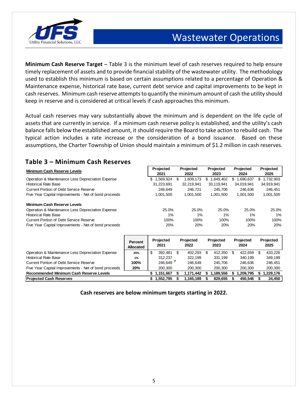

**Minimum Cash Reserve Target** – Table 3 is the minimum level of cash reserves required to help ensure timely replacement of assets and to provide financial stability of the wastewater utility. The methodology used to establish this minimum is based on certain assumptions related to a percentage of Operation & Maintenance expense, historical rate base, current debt service and capital improvements to be kept in cash reserves. Minimum cash reserve attempts to quantify the minimum amount of cash the utility should keep in reserve and is considered at critical levels if cash approaches this minimum.

Actual cash reserves may vary substantially above the minimum and is dependent on the life cycle of assets that are currently in service. If a minimum cash reserve policy is established, and the utility's cash balance falls below the established amount, it should require the Board to take action to rebuild cash. The typical action includes a rate increase or the consideration of a bond issuance. Based on these assumptions, the Charter Township of Union should maintain a minimum of \$1.2 million in cash reserves.

### **Table 3 – Minimum Cash Reserves**

| <b>Minimum Cash Reserve Levels</b>                    | Projected<br>2021 | Projected<br>2022 | Projected<br>2023 | Projected<br>2024 | Projected<br>2025 |
|-------------------------------------------------------|-------------------|-------------------|-------------------|-------------------|-------------------|
| Operation & Maintenance Less Depreciation Expense     | .569,924<br>S     | 1,609,173<br>S    | .649,402<br>S     | 1,690,637<br>S.   | 1,732,903<br>SS.  |
| <b>Historical Rate Base</b>                           | 31,223,691        | 32,219,941        | 33.119.941        | 34,019,941        | 34,919,941        |
| Current Portion of Debt Service Reserve               | 246.649           | 246.721           | 245.706           | 246.636           | 246.451           |
| Five Year Capital Improvements - Net of bond proceeds | 1.001.500         | 1,001,500         | 1,001,500         | 1,001,500         | 1,001,500         |
| <b>Minimum Cash Reserve Levels</b>                    |                   |                   |                   |                   |                   |
| Operation & Maintenance Less Depreciation Expense     | 25.0%             | 25.0%             | 25.0%             | 25.0%             | 25.0%             |
| <b>Historical Rate Base</b>                           | 1%                | $1\%$             | 1%                | $1\%$             | $1\%$             |
| Current Portion of Debt Service Reserve               | 100%              | 100%              | 100%              | 100%              | 100%              |
| Five Year Capital Improvements - Net of bond proceeds | 20%               | 20%               | 20%               | 20%               | 20%               |

|                                                       | Percent<br><b>Allocated</b> |   | Projected<br>2021 | Projected<br>2022 |           |  | Projected<br>2023 | Projected<br>2024 | Projected<br>2025 |          |  |
|-------------------------------------------------------|-----------------------------|---|-------------------|-------------------|-----------|--|-------------------|-------------------|-------------------|----------|--|
| Operation & Maintenance Less Depreciation Expense     | 25%                         | S | 392.481           |                   | 402.293   |  | 412.350           | 422.659           |                   | 433.226  |  |
| <b>Historical Rate Base</b>                           | 1%                          |   | 312.237           |                   | 322.199   |  | 331.199           | 340.199           |                   | 349.199  |  |
| <b>Current Portion of Debt Service Reserve</b>        | 100%                        |   | 246.649           |                   | 246.649   |  | 245.706           | 246.636           |                   | 246.451  |  |
| Five Year Capital Improvements - Net of bond proceeds | 20%                         |   | 200,300           |                   | 200.300   |  | 200.300           | 200.300           |                   | 200,300  |  |
| Recommended Minimum Cash Reserve Levels               |                             |   | 1.151.667         |                   | 1.171.442 |  | 1.189.556         | 1.209.795         |                   | .229.176 |  |
| <b>Projected Cash Reserves</b>                        |                             |   | 1,552,795         |                   | 1.165.189 |  | 829.655           | 450.546           |                   | 24.450   |  |

**Cash reserves are below minimum targets starting in 2022.**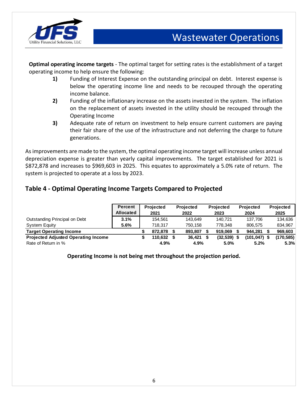

**Optimal operating income targets** - The optimal target for setting rates is the establishment of a target operating income to help ensure the following:

- **1)** Funding of Interest Expense on the outstanding principal on debt. Interest expense is below the operating income line and needs to be recouped through the operating income balance.
- **2)** Funding of the inflationary increase on the assets invested in the system. The inflation on the replacement of assets invested in the utility should be recouped through the Operating Income
- **3)** Adequate rate of return on investment to help ensure current customers are paying their fair share of the use of the infrastructure and not deferring the charge to future generations.

As improvements are made to the system, the optimal operating income target will increase unless annual depreciation expense is greater than yearly capital improvements. The target established for 2021 is \$872,878 and increases to \$969,603 in 2025. This equates to approximately a 5.0% rate of return. The system is projected to operate at a loss by 2023.

### **Table 4 - Optimal Operating Income Targets Compared to Projected**

|                                            | <b>Percent</b><br><b>Allocated</b> | <b>Projected</b><br>2021 | <b>Projected</b><br>2022 | <b>Projected</b><br>2023 | <b>Projected</b><br>2024 | <b>Projected</b><br>2025 |
|--------------------------------------------|------------------------------------|--------------------------|--------------------------|--------------------------|--------------------------|--------------------------|
| Outstanding Principal on Debt              | 3.1%                               | 154.561                  | 143.649                  | 140.721                  | 137.706                  | 134,636                  |
| <b>System Equity</b>                       | 5.6%                               | 718.317                  | 750.158                  | 778.348                  | 806.575                  | 834.967                  |
| <b>Target Operating Income</b>             |                                    | 872.878                  | 893.807                  | 919.069                  | 944.281                  | 969.603                  |
| <b>Projected Adjusted Operating Income</b> |                                    | 110.632                  | 36.421                   | $(32, 539)$ \$           | $(101, 047)$ \$          | (170, 585)               |
| Rate of Return in %                        |                                    | 4.9%                     | 4.9%                     | 5.0%                     | 5.2%                     | 5.3%                     |

**Operating Income is not being met throughout the projection period.**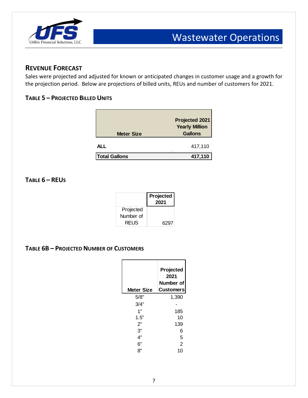

### **REVENUE FORECAST**

Sales were projected and adjusted for known or anticipated changes in customer usage and a growth for the projection period. Below are projections of billed units, REUs and number of customers for 2021.

#### **TABLE 5 – PROJECTED BILLED UNITS**

| <b>Meter Size</b>    | Projected 2021<br><b>Yearly Million</b><br><b>Gallons</b> |
|----------------------|-----------------------------------------------------------|
| ALL                  | 417,110                                                   |
| <b>Total Gallons</b> | 417,110                                                   |

#### **TABLE 6 – REUS**

|             | Projected<br>2021 |
|-------------|-------------------|
| Projected   |                   |
| Number of   |                   |
| <b>REUS</b> | 6297              |

#### **TABLE 6B – PROJECTED NUMBER OF CUSTOMERS**

| <b>Meter Size</b> | Projected<br>2021<br>Number of<br><b>Customers</b> |
|-------------------|----------------------------------------------------|
| 5/8"              | 1,390                                              |
| 3/4"              |                                                    |
| 1"                | 185                                                |
| 1.5"              | 10                                                 |
| 2"                | 139                                                |
| 3"                | 6                                                  |
| 4"                | 5                                                  |
| 6"                | $\overline{2}$                                     |
| ጸ"                | 10                                                 |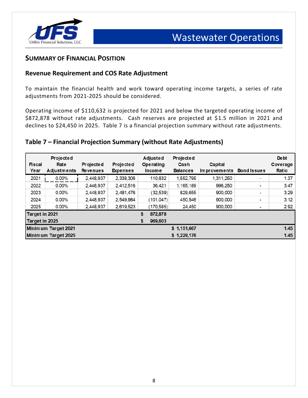

#### **SUMMARY OF FINANCIAL POSITION**

#### **Revenue Requirement and COS Rate Adjustment**

To maintain the financial health and work toward operating income targets, a series of rate adjustments from 2021-2025 should be considered.

Operating income of \$110,632 is projected for 2021 and below the targeted operating income of \$872,878 without rate adjustments. Cash reserves are projected at \$1.5 million in 2021 and declines to \$24,450 in 2025. Table 7 is a financial projection summary without rate adjustments.

#### **Table 7 – Financial Projection Summary (without Rate Adjustments)**

| <b>Fiscal</b><br>Year | <b>Projected</b><br>Rate<br><b>Adjustments</b> | <b>Projected</b><br><b>Revenues</b> | Projected<br><b>Expenses</b> | <b>Adjusted</b><br><b>Operating</b><br><b>Income</b> | <b>Projected</b><br>Cash<br><b>Balances</b> | <b>Capital</b><br><b>Improvements</b> | <b>Bond Issues</b>       | <b>Debt</b><br>Coverage<br>Ratio |
|-----------------------|------------------------------------------------|-------------------------------------|------------------------------|------------------------------------------------------|---------------------------------------------|---------------------------------------|--------------------------|----------------------------------|
| 2021                  | 0.00%                                          | 2,448,937                           | 2,338,306                    | 110,632                                              | 1,552,795                                   | 1,311,250                             | ۰.                       | 1.37                             |
| 2022                  | $0.00\%$                                       | 2,448,937                           | 2,412,516                    | 36.421                                               | 1,165,189                                   | 996,250                               |                          | 3.47                             |
| 2023                  | $0.00\%$                                       | 2,448,937                           | 2,481,476                    | (32, 539)                                            | 829.655                                     | 900,000                               |                          | 3.29                             |
| 2024                  | $0.00\%$                                       | 2,448,937                           | 2,549,984                    | (101, 047)                                           | 450,546                                     | 900,000                               | $\overline{\phantom{0}}$ | 3.12                             |
| 2025                  | $0.00\%$                                       | 2,448,937                           | 2,619,523                    | (170, 585)                                           | 24,450                                      | 900,000                               |                          | 2.92                             |
| Target in 2021        |                                                |                                     |                              | \$<br>872,878                                        |                                             |                                       |                          |                                  |
| Target in 2025        |                                                |                                     |                              | \$<br>969,603                                        |                                             |                                       |                          |                                  |
|                       | Minimum Target 2021                            |                                     |                              |                                                      | \$1,151,667                                 |                                       |                          | 1.45                             |
|                       | Minimum Target 2025                            |                                     |                              |                                                      | \$1,229,176                                 |                                       |                          | 1.45                             |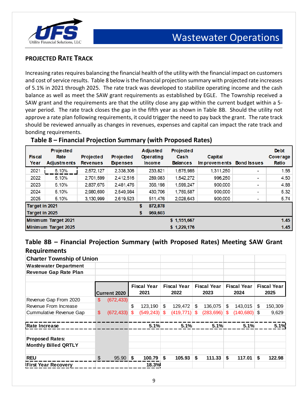

### **PROJECTED RATE TRACK**

Increasing rates requires balancing the financial health of the utility with the financial impact on customers and cost of service results. Table 8 below is the financial projection summary with projected rate increases of 5.1% in 2021 through 2025. The rate track was developed to stabilize operating income and the cash balance as well as meet the SAW grant requirements as established by EGLE. The Township received a SAW grant and the requirements are that the utility close any gap within the current budget within a 5 year period. The rate track closes the gap in the fifth year as shown in Table 8B. Should the utility not approve a rate plan following requirements, it could trigger the need to pay back the grant. The rate track should be reviewed annually as changes in revenues, expenses and capital can impact the rate track and bonding requirements.

| <b>Fiscal</b><br>Year | <b>Projected</b><br>Rate<br><b>Adjustments</b> | <b>Projected</b><br><b>Revenues</b> | <b>Projected</b><br><b>Expenses</b> | <b>Adjusted</b><br><b>Operating</b><br><b>Income</b> | Projected<br>Cash<br><b>Balances</b> | <b>Capital</b><br><b>Improvements</b> | <b>Bond Issues</b> | <b>Debt</b><br>Coverage<br>Ratio |
|-----------------------|------------------------------------------------|-------------------------------------|-------------------------------------|------------------------------------------------------|--------------------------------------|---------------------------------------|--------------------|----------------------------------|
| 2021                  | 5.10%                                          | 2,572,127                           | 2,338,306                           | 233,821                                              | 1,675,985                            | 1,311,250                             | -                  | 1.56                             |
| 2022                  | 5.10%                                          | 2,701,599                           | 2,412,516                           | 289,083                                              | 1,542,272                            | 996,250                               | -                  | 4.50                             |
| 2023                  | 5.10%                                          | 2,837,675                           | 2,481,476                           | 356,198                                              | 1,599,247                            | 900,000                               | -                  | 4.88                             |
| 2024                  | 5.10%                                          | 2,980,690                           | 2,549,984                           | 430,706                                              | 1,759,587                            | 900,000                               |                    | 5.32                             |
| 2025                  | 5.10%                                          | 3,130,999                           | 2,619,523                           | 511,476                                              | 2,028,643                            | 900,000                               |                    | 5.74                             |
| <b>Target in 2021</b> |                                                |                                     |                                     | \$<br>872,878                                        |                                      |                                       |                    |                                  |
| Target in 2025        |                                                |                                     |                                     | \$<br>969,603                                        |                                      |                                       |                    |                                  |
|                       | Minimum Target 2021                            |                                     |                                     |                                                      | \$1,151,667                          |                                       |                    | 1.45                             |
|                       | Minimum Target 2025                            |                                     |                                     |                                                      | \$1,229,176                          |                                       |                    | 1.45                             |

#### **Table 8 – Financial Projection Summary (with Proposed Rates)**

#### **Table 8B – Financial Projection Summary (with Proposed Rates) Meeting SAW Grant Requirements**

| <b>Charter Township of Union</b> |                |                     |                            |                |                            |     |                            |                            |                            |
|----------------------------------|----------------|---------------------|----------------------------|----------------|----------------------------|-----|----------------------------|----------------------------|----------------------------|
| <b>Wastewater Department</b>     |                |                     |                            |                |                            |     |                            |                            |                            |
| <b>Revenue Gap Rate Plan</b>     |                |                     |                            |                |                            |     |                            |                            |                            |
|                                  |                | <b>Current 2020</b> | <b>Fiscal Year</b><br>2021 |                | <b>Fiscal Year</b><br>2022 |     | <b>Fiscal Year</b><br>2023 | <b>Fiscal Year</b><br>2024 | <b>Fiscal Year</b><br>2025 |
| Revenue Gap From 2020            | \$.            | (672, 433)          |                            |                |                            |     |                            |                            |                            |
| Revenue From Increase            |                |                     | \$<br>123,190              | $\mathfrak{S}$ | 129,472                    | \$  | 136,075                    | \$<br>143,015              | \$<br>150,309              |
| <b>Cummulative Revenue Gap</b>   | $\mathfrak{S}$ | $(672, 433)$ \$     | $(549, 243)$ \$            |                | (419, 771)                 | \$. | $(283, 696)$ \$            | $(140,680)$ \$             | 9,629                      |
| Rate Increase                    |                |                     | 5.1%                       |                | 5.1%                       |     | 5.1%                       | 5.1%                       | 5.1%                       |
| <b>Proposed Rates:</b>           |                |                     |                            |                |                            |     |                            |                            |                            |
| <b>Monthly Billed QRTLY</b>      |                |                     |                            |                |                            |     |                            |                            |                            |
| <b>REU</b>                       | $\frac{1}{2}$  | 95.90 \$            | 100.79                     | \$             | 105.93                     | \$  | 111.33                     | \$<br>117.01               | \$<br>122.98               |
| <b>First Year Recovery</b>       |                |                     | 18.3%                      |                |                            |     |                            |                            |                            |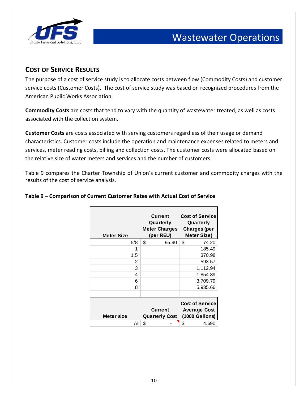

### **COST OF SERVICE RESULTS**

The purpose of a cost of service study is to allocate costs between flow (Commodity Costs) and customer service costs (Customer Costs). The cost of service study was based on recognized procedures from the American Public Works Association.

**Commodity Costs** are costs that tend to vary with the quantity of wastewater treated, as well as costs associated with the collection system.

**Customer Costs** are costs associated with serving customers regardless of their usage or demand characteristics. Customer costs include the operation and maintenance expenses related to meters and services, meter reading costs, billing and collection costs. The customer costs were allocated based on the relative size of water meters and services and the number of customers.

Table 9 compares the Charter Township of Union's current customer and commodity charges with the results of the cost of service analysis.

| <b>Meter Size</b> | <b>Current</b><br>Quarterly<br><b>Meter Charges</b><br>(per REU) | <b>Cost of Service</b><br>Quarterly<br><b>Charges (per</b><br><b>Meter Size)</b> |
|-------------------|------------------------------------------------------------------|----------------------------------------------------------------------------------|
| 5/8"              | \$<br>95.90                                                      | \$<br>74.20                                                                      |
| 1"                |                                                                  | 185.49                                                                           |
| 1.5"              |                                                                  | 370.98                                                                           |
| 2"                |                                                                  | 593.57                                                                           |
| 3"                |                                                                  | 1,112.94                                                                         |
| 4"                |                                                                  | 1,854.89                                                                         |
| 6"                |                                                                  | 3,709.79                                                                         |
| 8"                |                                                                  | 5,935.66                                                                         |
|                   |                                                                  |                                                                                  |
| Meter size        | <b>Current</b><br><b>Quarterly Cost</b>                          | <b>Cost of Service</b><br><b>Average Cost</b><br>(1000 Gallons)                  |
| All               | \$                                                               | \$<br>4.690                                                                      |

#### **Table 9 – Comparison of Current Customer Rates with Actual Cost of Service**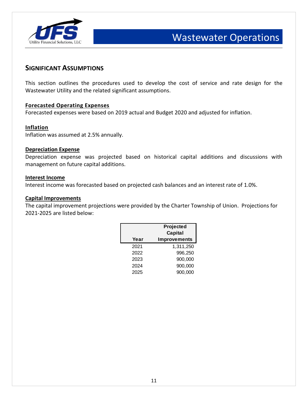

#### **SIGNIFICANT ASSUMPTIONS**

This section outlines the procedures used to develop the cost of service and rate design for the Wastewater Utility and the related significant assumptions.

#### **Forecasted Operating Expenses**

Forecasted expenses were based on 2019 actual and Budget 2020 and adjusted for inflation.

#### **Inflation**

Inflation was assumed at 2.5% annually.

#### **Depreciation Expense**

Depreciation expense was projected based on historical capital additions and discussions with management on future capital additions.

#### **Interest Income**

Interest income was forecasted based on projected cash balances and an interest rate of 1.0%.

#### **Capital Improvements**

The capital improvement projections were provided by the Charter Township of Union. Projections for 2021-2025 are listed below:

|      | Projected           |  |
|------|---------------------|--|
|      | Capital             |  |
| Year | <b>Improvements</b> |  |
| 2021 | 1,311,250           |  |
| 2022 | 996,250             |  |
| 2023 | 900,000             |  |
| 2024 | 900,000             |  |
| 2025 | 900,000             |  |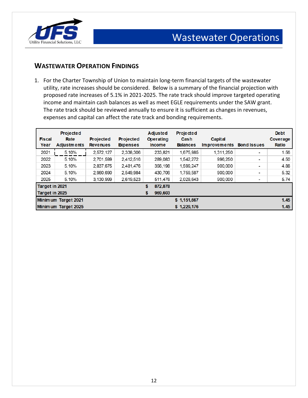

### **WASTEWATER OPERATION FINDINGS**

1. For the Charter Township of Union to maintain long-term financial targets of the wastewater utility, rate increases should be considered. Below is a summary of the financial projection with proposed rate increases of 5.1% in 2021-2025. The rate track should improve targeted operating income and maintain cash balances as well as meet EGLE requirements under the SAW grant. The rate track should be reviewed annually to ensure it is sufficient as changes in revenues, expenses and capital can affect the rate track and bonding requirements.

| <b>Fiscal</b><br>Year | <b>Projected</b><br>Rate<br><b>Adjustments</b> | <b>Projected</b><br><b>Revenues</b> | <b>Projected</b><br><b>Expenses</b> | <b>Adjusted</b><br><b>Operating</b><br><b>Income</b> | <b>Projected</b><br>Cash<br><b>Balances</b> | <b>Capital</b><br><b>Improvements</b> | <b>Bond Issues</b> | <b>Debt</b><br>Coverage<br>Ratio |
|-----------------------|------------------------------------------------|-------------------------------------|-------------------------------------|------------------------------------------------------|---------------------------------------------|---------------------------------------|--------------------|----------------------------------|
| 2021                  | 5.10%                                          | 2.572.127                           | 2.338.306                           | 233.821                                              | 1.675.985                                   | 1.311.250                             | ۰                  | 1.56                             |
| 2022                  | 5.10%                                          | 2,701,599                           | 2.412.516                           | 289,083                                              | 1,542,272                                   | 996.250                               | $\blacksquare$     | 4.50                             |
| 2023                  | 5.10%                                          | 2.837.675                           | 2.481.476                           | 356,198                                              | 1.599.247                                   | 900,000                               | ۰                  | 4.88                             |
| 2024                  | 5.10%                                          | 2.980.690                           | 2.549.984                           | 430,706                                              | 1,759,587                                   | 900,000                               | -                  | 5.32                             |
| 2025                  | 5.10%                                          | 3.130.999                           | 2.619.523                           | 511,476                                              | 2.028.643                                   | 900,000                               |                    | 5.74                             |
| Target in 2021        |                                                |                                     |                                     | \$<br>872,878                                        |                                             |                                       |                    |                                  |
| Target in 2025        |                                                |                                     |                                     | \$<br>969,603                                        |                                             |                                       |                    |                                  |
|                       | Minim um Target 2021                           |                                     |                                     |                                                      | \$1,151,667                                 |                                       |                    | 1.45                             |
|                       | Minimum Target 2025                            |                                     |                                     |                                                      | \$1,229,176                                 |                                       |                    | 1.45                             |